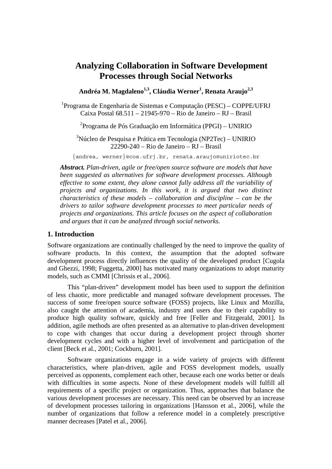# **Analyzing Collaboration in Software Development Processes through Social Networks**

Andréa M. Magdaleno<sup>1,3</sup>, Cláudia Werner<sup>1</sup>, Renata Araujo<sup>2,3</sup>

1 Programa de Engenharia de Sistemas e Computação (PESC) – COPPE/UFRJ Caixa Postal 68.511 – 21945-970 – Rio de Janeiro – RJ – Brasil

2 Programa de Pós Graduação em Informática (PPGI) – UNIRIO

<sup>3</sup>Núcleo de Pesquisa e Prática em Tecnologia (NP2Tec) – UNIRIO 22290-240 – Rio de Janeiro – RJ – Brasil

{andrea, werner}@cos.ufrj.br, renata.araujo@uniriotec.br

*Abstract. Plan-driven, agile or free/open source software are models that have been suggested as alternatives for software development processes. Although effective to some extent, they alone cannot fully address all the variability of projects and organizations. In this work, it is argued that two distinct characteristics of these models – collaboration and discipline – can be the drivers to tailor software development processes to meet particular needs of projects and organizations. This article focuses on the aspect of collaboration and argues that it can be analyzed through social networks.* 

### **1. Introduction**

Software organizations are continually challenged by the need to improve the quality of software products. In this context, the assumption that the adopted software development process directly influences the quality of the developed product [Cugola and Ghezzi, 1998; Fuggetta, 2000] has motivated many organizations to adopt maturity models, such as CMMI [Chrissis et al., 2006].

 This "plan-driven" development model has been used to support the definition of less chaotic, more predictable and managed software development processes. The success of some free/open source software (FOSS) projects, like Linux and Mozilla, also caught the attention of academia, industry and users due to their capability to produce high quality software, quickly and free [Feller and Fitzgerald, 2001]. In addition, agile methods are often presented as an alternative to plan-driven development to cope with changes that occur during a development project through shorter development cycles and with a higher level of involvement and participation of the client [Beck et al., 2001; Cockburn, 2001].

 Software organizations engage in a wide variety of projects with different characteristics, where plan-driven, agile and FOSS development models, usually perceived as opponents, complement each other, because each one works better or deals with difficulties in some aspects. None of these development models will fulfill all requirements of a specific project or organization. Thus, approaches that balance the various development processes are necessary. This need can be observed by an increase of development processes tailoring in organizations [Hansson et al., 2006], while the number of organizations that follow a reference model in a completely prescriptive manner decreases [Patel et al., 2006].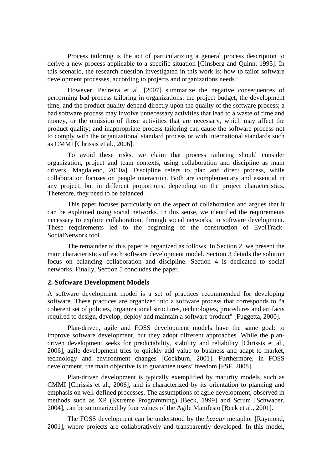Process tailoring is the act of particularizing a general process description to derive a new process applicable to a specific situation [Ginsberg and Quinn, 1995]. In this scenario, the research question investigated in this work is: how to tailor software development processes, according to projects and organizations needs?

 However, Pedreira et al. [2007] summarize the negative consequences of performing bad process tailoring in organizations: the project budget, the development time, and the product quality depend directly upon the quality of the software process; a bad software process may involve unnecessary activities that lead to a waste of time and money, or the omission of those activities that are necessary, which may affect the product quality; and inappropriate process tailoring can cause the software process not to comply with the organizational standard process or with international standards such as CMMI [Chrissis et al., 2006].

 To avoid these risks, we claim that process tailoring should consider organization, project and team contexts, using collaboration and discipline as main drivers [Magdaleno, 2010a]. Discipline refers to plan and direct process, while collaboration focuses on people interaction. Both are complementary and essential in any project, but in different proportions, depending on the project characteristics. Therefore, they need to be balanced.

 This paper focuses particularly on the aspect of collaboration and argues that it can be explained using social networks. In this sense, we identified the requirements necessary to explore collaboration, through social networks, in software development. These requirements led to the beginning of the construction of EvolTrack-SocialNetwork tool.

 The remainder of this paper is organized as follows. In Section 2, we present the main characteristics of each software development model. Section 3 details the solution focus on balancing collaboration and discipline. Section 4 is dedicated to social networks. Finally, Section 5 concludes the paper.

### **2. Software Development Models**

A software development model is a set of practices recommended for developing software. These practices are organized into a software process that corresponds to "a coherent set of policies, organizational structures, technologies, procedures and artifacts required to design, develop, deploy and maintain a software product" [Fuggetta, 2000].

 Plan-driven, agile and FOSS development models have the same goal: to improve software development, but they adopt different approaches. While the plandriven development seeks for predictability, stability and reliability [Chrissis et al., 2006], agile development tries to quickly add value to business and adapt to market, technology and environment changes [Cockburn, 2001]. Furthermore, in FOSS development, the main objective is to guarantee users' freedom [FSF, 2008].

 Plan-driven development is typically exemplified by maturity models, such as CMMI [Chrissis et al., 2006], and is characterized by its orientation to planning and emphasis on well-defined processes. The assumptions of agile development, observed in methods such as XP (Extreme Programming) [Beck, 1999] and Scrum [Schwaber, 2004], can be summarized by four values of the Agile Manifesto [Beck et al., 2001].

 The FOSS development can be understood by the *bazaar* metaphor [Raymond, 2001], where projects are collaboratively and transparently developed. In this model,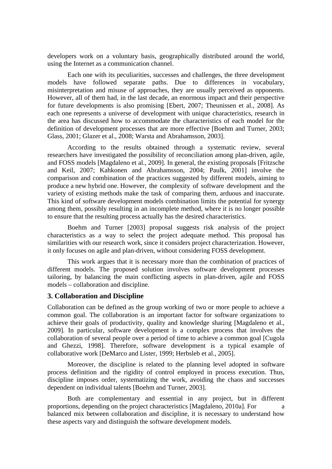developers work on a voluntary basis, geographically distributed around the world, using the Internet as a communication channel.

 Each one with its peculiarities, successes and challenges, the three development models have followed separate paths. Due to differences in vocabulary, misinterpretation and misuse of approaches, they are usually perceived as opponents. However, all of them had, in the last decade, an enormous impact and their perspective for future developments is also promising [Ebert, 2007; Theunissen et al., 2008]. As each one represents a universe of development with unique characteristics, research in the area has discussed how to accommodate the characteristics of each model for the definition of development processes that are more effective [Boehm and Turner, 2003; Glass, 2001; Glazer et al., 2008; Warsta and Abrahamsson, 2003].

 According to the results obtained through a systematic review, several researchers have investigated the possibility of reconciliation among plan-driven, agile, and FOSS models [Magdaleno et al., 2009]. In general, the existing proposals [Fritzsche and Keil, 2007; Kahkonen and Abrahamsson, 2004; Paulk, 2001] involve the comparison and combination of the practices suggested by different models, aiming to produce a new hybrid one. However, the complexity of software development and the variety of existing methods make the task of comparing them, arduous and inaccurate. This kind of software development models combination limits the potential for synergy among them, possibly resulting in an incomplete method, where it is no longer possible to ensure that the resulting process actually has the desired characteristics.

 Boehm and Turner [2003] proposal suggests risk analysis of the project characteristics as a way to select the project adequate method. This proposal has similarities with our research work, since it considers project characterization. However, it only focuses on agile and plan-driven, without considering FOSS development.

 This work argues that it is necessary more than the combination of practices of different models. The proposed solution involves software development processes tailoring, by balancing the main conflicting aspects in plan-driven, agile and FOSS models – collaboration and discipline.

### **3. Collaboration and Discipline**

Collaboration can be defined as the group working of two or more people to achieve a common goal. The collaboration is an important factor for software organizations to achieve their goals of productivity, quality and knowledge sharing [Magdaleno et al., 2009]. In particular, software development is a complex process that involves the collaboration of several people over a period of time to achieve a common goal [Cugola and Ghezzi, 1998]. Therefore, software development is a typical example of collaborative work [DeMarco and Lister, 1999; Herbsleb et al., 2005].

 Moreover, the discipline is related to the planning level adopted in software process definition and the rigidity of control employed in process execution. Thus, discipline imposes order, systematizing the work, avoiding the chaos and successes dependent on individual talents [Boehm and Turner, 2003].

 Both are complementary and essential in any project, but in different proportions, depending on the project characteristics [Magdaleno, 2010a]. For a balanced mix between collaboration and discipline, it is necessary to understand how these aspects vary and distinguish the software development models.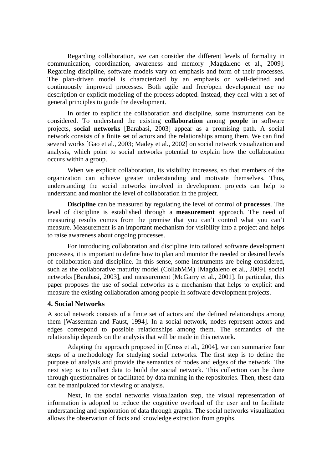Regarding collaboration, we can consider the different levels of formality in communication, coordination, awareness and memory [Magdaleno et al., 2009]. Regarding discipline, software models vary on emphasis and form of their processes. The plan-driven model is characterized by an emphasis on well-defined and continuously improved processes. Both agile and free/open development use no description or explicit modeling of the process adopted. Instead, they deal with a set of general principles to guide the development.

 In order to explicit the collaboration and discipline, some instruments can be considered. To understand the existing **collaboration** among **people** in software projects, **social networks** [Barabasi, 2003] appear as a promising path. A social network consists of a finite set of actors and the relationships among them. We can find several works [Gao et al., 2003; Madey et al., 2002] on social network visualization and analysis, which point to social networks potential to explain how the collaboration occurs within a group.

 When we explicit collaboration, its visibility increases, so that members of the organization can achieve greater understanding and motivate themselves. Thus, understanding the social networks involved in development projects can help to understand and monitor the level of collaboration in the project.

**Discipline** can be measured by regulating the level of control of **processes**. The level of discipline is established through a **measurement** approach. The need of measuring results comes from the premise that you can't control what you can't measure. Measurement is an important mechanism for visibility into a project and helps to raise awareness about ongoing processes.

 For introducing collaboration and discipline into tailored software development processes, it is important to define how to plan and monitor the needed or desired levels of collaboration and discipline. In this sense, some instruments are being considered, such as the collaborative maturity model (CollabMM) [Magdaleno et al., 2009], social networks [Barabasi, 2003], and measurement [McGarry et al., 2001]. In particular, this paper proposes the use of social networks as a mechanism that helps to explicit and measure the existing collaboration among people in software development projects.

### **4. Social Networks**

A social network consists of a finite set of actors and the defined relationships among them [Wasserman and Faust, 1994]. In a social network, nodes represent actors and edges correspond to possible relationships among them. The semantics of the relationship depends on the analysis that will be made in this network.

 Adapting the approach proposed in [Cross et al., 2004], we can summarize four steps of a methodology for studying social networks. The first step is to define the purpose of analysis and provide the semantics of nodes and edges of the network. The next step is to collect data to build the social network. This collection can be done through questionnaires or facilitated by data mining in the repositories. Then, these data can be manipulated for viewing or analysis.

 Next, in the social networks visualization step, the visual representation of information is adopted to reduce the cognitive overload of the user and to facilitate understanding and exploration of data through graphs. The social networks visualization allows the observation of facts and knowledge extraction from graphs.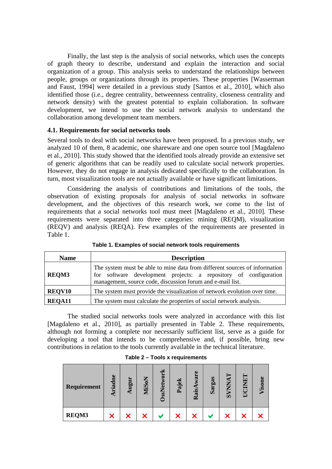Finally, the last step is the analysis of social networks, which uses the concepts of graph theory to describe, understand and explain the interaction and social organization of a group. This analysis seeks to understand the relationships between people, groups or organizations through its properties. These properties [Wasserman and Faust, 1994] were detailed in a previous study [Santos et al., 2010], which also identified those (i.e., degree centrality, betweenness centrality, closeness centrality and network density) with the greatest potential to explain collaboration. In software development, we intend to use the social network analysis to understand the collaboration among development team members.

# **4.1. Requirements for social networks tools**

Several tools to deal with social networks have been proposed. In a previous study, we analyzed 10 of them, 8 academic, one shareware and one open source tool [Magdaleno et al., 2010]. This study showed that the identified tools already provide an extensive set of generic algorithms that can be readily used to calculate social network properties. However, they do not engage in analysis dedicated specifically to the collaboration. In turn, most visualization tools are not actually available or have significant limitations.

 Considering the analysis of contributions and limitations of the tools, the observation of existing proposals for analysis of social networks in software development, and the objectives of this research work, we come to the list of requirements that a social networks tool must meet [Magdaleno et al., 2010]. These requirements were separated into three categories: mining (REQM), visualization (REQV) and analysis (REQA). Few examples of the requirements are presented in Table 1.

| <b>Name</b>   | <b>Description</b>                                                                                                                                                                                           |  |  |  |  |  |  |  |  |
|---------------|--------------------------------------------------------------------------------------------------------------------------------------------------------------------------------------------------------------|--|--|--|--|--|--|--|--|
| <b>REQM3</b>  | The system must be able to mine data from different sources of information<br>for software development projects: a repository of configuration<br>management, source code, discussion forum and e-mail list. |  |  |  |  |  |  |  |  |
| <b>REQV10</b> | The system must provide the visualization of network evolution over time.                                                                                                                                    |  |  |  |  |  |  |  |  |
| REQA11        | The system must calculate the properties of social network analysis.                                                                                                                                         |  |  |  |  |  |  |  |  |

**Table 1. Examples of social network tools requirements** 

 The studied social networks tools were analyzed in accordance with this list [Magdaleno et al., 2010], as partially presented in Table 2. These requirements, although not forming a complete nor necessarily sufficient list, serve as a guide for developing a tool that intends to be comprehensive and, if possible, bring new contributions in relation to the tools currently available in the technical literature.

| Requirement | $\omega$<br>iad | Augur | ξ<br>Š<br>≅ | $\overline{\mathbf{a}}$<br><b>Neso</b> | ď<br>Paj | $\omega$<br>ឆ<br>Rais | sas.<br>Sar | ▀<br>ANN<br>$\boldsymbol{\omega}$ | Ξ | 3<br>Ø |
|-------------|-----------------|-------|-------------|----------------------------------------|----------|-----------------------|-------------|-----------------------------------|---|--------|
| REQM3       |                 |       |             |                                        | X        |                       |             |                                   |   |        |

#### **Table 2 – Tools x requirements**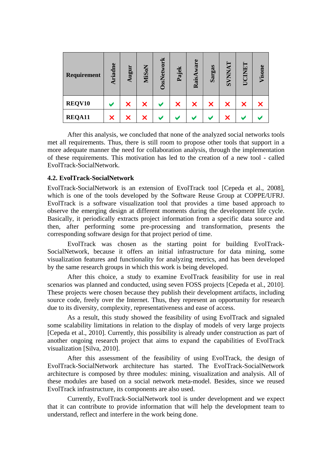| Requirement | Ariadne | Augur | <b>MiSoN</b> | OssNetwork | Pajek | ware<br>RaisA | Sargas | <b>TANNAY</b> | <b>CINET</b><br>Ĕ | Visone |
|-------------|---------|-------|--------------|------------|-------|---------------|--------|---------------|-------------------|--------|
| REQV10      |         | X     | X            |            | X     | ×             | X      | X             | X                 | х      |
| REQA11      | X       | X     |              |            |       |               |        | ×             |                   |        |

 After this analysis, we concluded that none of the analyzed social networks tools met all requirements. Thus, there is still room to propose other tools that support in a more adequate manner the need for collaboration analysis, through the implementation of these requirements. This motivation has led to the creation of a new tool - called EvolTrack-SocialNetwork.

### **4.2. EvolTrack-SocialNetwork**

EvolTrack-SocialNetwork is an extension of EvolTrack tool [Cepeda et al., 2008], which is one of the tools developed by the Software Reuse Group at COPPE/UFRJ. EvolTrack is a software visualization tool that provides a time based approach to observe the emerging design at different moments during the development life cycle. Basically, it periodically extracts project information from a specific data source and then, after performing some pre-processing and transformation, presents the corresponding software design for that project period of time.

 EvolTrack was chosen as the starting point for building EvolTrack-SocialNetwork, because it offers an initial infrastructure for data mining, some visualization features and functionality for analyzing metrics, and has been developed by the same research groups in which this work is being developed.

 After this choice, a study to examine EvolTrack feasibility for use in real scenarios was planned and conducted, using seven FOSS projects [Cepeda et al., 2010]. These projects were chosen because they publish their development artifacts, including source code, freely over the Internet. Thus, they represent an opportunity for research due to its diversity, complexity, representativeness and ease of access.

 As a result, this study showed the feasibility of using EvolTrack and signaled some scalability limitations in relation to the display of models of very large projects [Cepeda et al., 2010]. Currently, this possibility is already under construction as part of another ongoing research project that aims to expand the capabilities of EvolTrack visualization [Silva, 2010].

 After this assessment of the feasibility of using EvolTrack, the design of EvolTrack-SocialNetwork architecture has started. The EvolTrack-SocialNetwork architecture is composed by three modules: mining, visualization and analysis. All of these modules are based on a social network meta-model. Besides, since we reused EvolTrack infrastructure, its components are also used.

 Currently, EvolTrack-SocialNetwork tool is under development and we expect that it can contribute to provide information that will help the development team to understand, reflect and interfere in the work being done.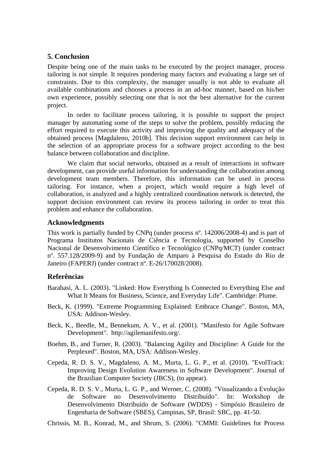# **5. Conclusion**

Despite being one of the main tasks to be executed by the project manager, process tailoring is not simple. It requires pondering many factors and evaluating a large set of constraints. Due to this complexity, the manager usually is not able to evaluate all available combinations and chooses a process in an ad-hoc manner, based on his/her own experience, possibly selecting one that is not the best alternative for the current project.

 In order to facilitate process tailoring, it is possible to support the project manager by automating some of the steps to solve the problem, possibly reducing the effort required to execute this activity and improving the quality and adequacy of the obtained process [Magdaleno, 2010b]. This decision support environment can help in the selection of an appropriate process for a software project according to the best balance between collaboration and discipline.

 We claim that social networks, obtained as a result of interactions in software development, can provide useful information for understanding the collaboration among development team members. Therefore, this information can be used in process tailoring. For instance, when a project, which would require a high level of collaboration, is analyzed and a highly centralized coordination network is detected, the support decision environment can review its process tailoring in order to treat this problem and enhance the collaboration.

# **Acknowledgments**

This work is partially funded by CNPq (under process nº. 142006/2008-4) and is part of Programa Institutos Nacionais de Ciência e Tecnologia, supported by Conselho Nacional de Desenvolvimento Científico e Tecnológico (CNPq/MCT) (under contract nº. 557.128/2009-9) and by Fundação de Amparo à Pesquisa do Estado do Rio de Janeiro (FAPERJ) (under contract nº. E-26/170028/2008).

# **Referências**

- Barabasi, A. L. (2003). "Linked: How Everything Is Connected to Everything Else and What It Means for Business, Science, and Everyday Life". Cambridge: Plume.
- Beck, K. (1999). "Extreme Programming Explained: Embrace Change". Boston, MA, USA: Addison-Wesley.
- Beck, K., Beedle, M., Bennekum, A. V., et al. (2001). "Manifesto for Agile Software Development". http://agilemanifesto.org/.
- Boehm, B., and Turner, R. (2003). "Balancing Agility and Discipline: A Guide for the Perplexed". Boston, MA, USA: Addison-Wesley.
- Cepeda, R. D. S. V., Magdaleno, A. M., Murta, L. G. P., et al. (2010). "EvolTrack: Improving Design Evolution Awareness in Software Development". Journal of the Brazilian Computer Society (JBCS), (to appear).
- Cepeda, R. D. S. V., Murta, L. G. P., and Werner, C. (2008). "Visualizando a Evolução de Software no Desenvolvimento Distribuído". In: Workshop de Desenvolvimento Distribuído de Software (WDDS) - Simpósio Brasileiro de Engenharia de Software (SBES), Campinas, SP, Brasil: SBC, pp. 41-50.

Chrissis, M. B., Konrad, M., and Shrum, S. (2006). "CMMI: Guidelines for Process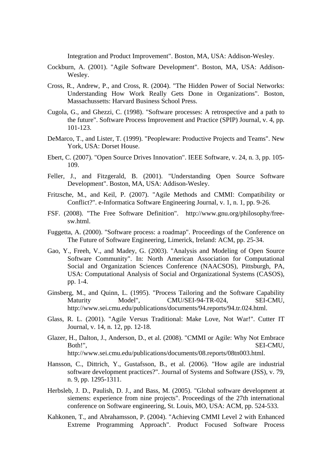Integration and Product Improvement". Boston, MA, USA: Addison-Wesley.

- Cockburn, A. (2001). "Agile Software Development". Boston, MA, USA: Addison-Wesley.
- Cross, R., Andrew, P., and Cross, R. (2004). "The Hidden Power of Social Networks: Understanding How Work Really Gets Done in Organizations". Boston, Massachussetts: Harvard Business School Press.
- Cugola, G., and Ghezzi, C. (1998). "Software processes: A retrospective and a path to the future". Software Process Improvement and Practice (SPIP) Journal, v. 4, pp. 101-123.
- DeMarco, T., and Lister, T. (1999). "Peopleware: Productive Projects and Teams". New York, USA: Dorset House.
- Ebert, C. (2007). "Open Source Drives Innovation". IEEE Software, v. 24, n. 3, pp. 105- 109.
- Feller, J., and Fitzgerald, B. (2001). "Understanding Open Source Software Development". Boston, MA, USA: Addison-Wesley.
- Fritzsche, M., and Keil, P. (2007). "Agile Methods and CMMI: Compatibility or Conflict?". e-Informatica Software Engineering Journal, v. 1, n. 1, pp. 9-26.
- FSF. (2008). "The Free Software Definition". http://www.gnu.org/philosophy/freesw.html.
- Fuggetta, A. (2000). "Software process: a roadmap". Proceedings of the Conference on The Future of Software Engineering, Limerick, Ireland: ACM, pp. 25-34.
- Gao, Y., Freeh, V., and Madey, G. (2003). "Analysis and Modeling of Open Source Software Community". In: North American Association for Computational Social and Organization Sciences Conference (NAACSOS), Pittsburgh, PA, USA: Computational Analysis of Social and Organizational Systems (CASOS), pp. 1-4.
- Ginsberg, M., and Quinn, L. (1995). "Process Tailoring and the Software Capability<br>Maturity Model", CMU/SEI-94-TR-024, SEI-CMU. Maturity Model", CMU/SEI-94-TR-024, SEI-CMU, http://www.sei.cmu.edu/publications/documents/94.reports/94.tr.024.html.
- Glass, R. L. (2001). "Agile Versus Traditional: Make Love, Not War!". Cutter IT Journal, v. 14, n. 12, pp. 12-18.
- Glazer, H., Dalton, J., Anderson, D., et al. (2008). "CMMI or Agile: Why Not Embrace Both!", SEI-CMU, http://www.sei.cmu.edu/publications/documents/08.reports/08tn003.html.
- Hansson, C., Dittrich, Y., Gustafsson, B., et al. (2006). "How agile are industrial software development practices?". Journal of Systems and Software (JSS), v. 79, n. 9, pp. 1295-1311.
- Herbsleb, J. D., Paulish, D. J., and Bass, M. (2005). "Global software development at siemens: experience from nine projects". Proceedings of the 27th international conference on Software engineering, St. Louis, MO, USA: ACM, pp. 524-533.
- Kahkonen, T., and Abrahamsson, P. (2004). "Achieving CMMI Level 2 with Enhanced Extreme Programming Approach". Product Focused Software Process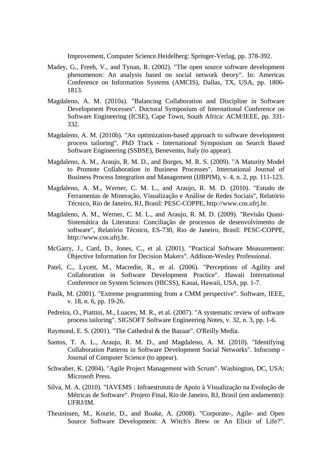Improvement, Computer Science.Heidelberg: Springer-Verlag, pp. 378-392.

- Madey, G., Freeh, V., and Tynan, R. (2002). "The open source software development phenomenon: An analysis based on social network theory". In: Americas Conference on Information Systems (AMCIS), Dallas, TX, USA, pp. 1806- 1813.
- Magdaleno, A. M. (2010a). "Balancing Collaboration and Discipline in Software Development Processes". Doctoral Symposium of International Conference on Software Engineering (ICSE), Cape Town, South Africa: ACM/IEEE, pp. 331- 332.
- Magdaleno, A. M. (2010b). "An optimization-based approach to software development process tailoring". PhD Track - International Symposium on Search Based Software Engineering (SSBSE), Benevento, Italy (to appear).
- Magdaleno, A. M., Araujo, R. M. D., and Borges, M. R. S. (2009). "A Maturity Model to Promote Collaboration in Business Processes". International Journal of Business Process Integration and Management (IJBPIM), v. 4, n. 2, pp. 111-123.
- Magdaleno, A. M., Werner, C. M. L., and Araujo, R. M. D. (2010). "Estudo de Ferramentas de Mineração, Visualização e Análise de Redes Sociais", Relatório Técnico, Rio de Janeiro, RJ, Brasil: PESC-COPPE, http://www.cos.ufrj.br.
- Magdaleno, A. M., Werner, C. M. L., and Araujo, R. M. D. (2009). "Revisão Quasi-Sistemática da Literatura: Conciliação de processos de desenvolvimento de software", Relatório Técnico, ES-730, Rio de Janeiro, Brasil: PESC-COPPE, http://www.cos.ufrj.br.
- McGarry, J., Card, D., Jones, C., et al. (2001). "Practical Software Measurement: Objective Information for Decision Makers". Addison-Wesley Professional.
- Patel, C., Lycett, M., Macredie, R., et al. (2006). "Perceptions of Agility and Collaboration in Software Development Practice". Hawaii International Conference on System Sciences (HICSS), Kauai, Hawaii, USA, pp. 1-7.
- Paulk, M. (2001). "Extreme programming from a CMM perspective". Software, IEEE, v. 18, n. 6, pp. 19-26.
- Pedreira, O., Piattini, M., Luaces, M. R., et al. (2007). "A systematic review of software process tailoring". SIGSOFT Software Engineering Notes, v. 32, n. 3, pp. 1-6.
- Raymond, E. S. (2001). "The Cathedral & the Bazaar". O'Reilly Media.
- Santos, T. A. L., Araujo, R. M. D., and Magdaleno, A. M. (2010). "Identifying Collaboration Patterns in Software Development Social Networks". Infocomp - Journal of Computer Science (to appear).
- Schwaber, K. (2004). "Agile Project Management with Scrum". Washington, DC, USA: Microsoft Press.
- Silva, M. A. (2010). "IAVEMS : Infraestrutura de Apoio à Visualização na Evolução de Métricas de Software". Projeto Final, Rio de Janeiro, RJ, Brasil (em andamento): UFRJ/IM.
- Theunissen, M., Kourie, D., and Boake, A. (2008). "Corporate-, Agile- and Open Source Software Development: A Witch's Brew or An Elixir of Life?".